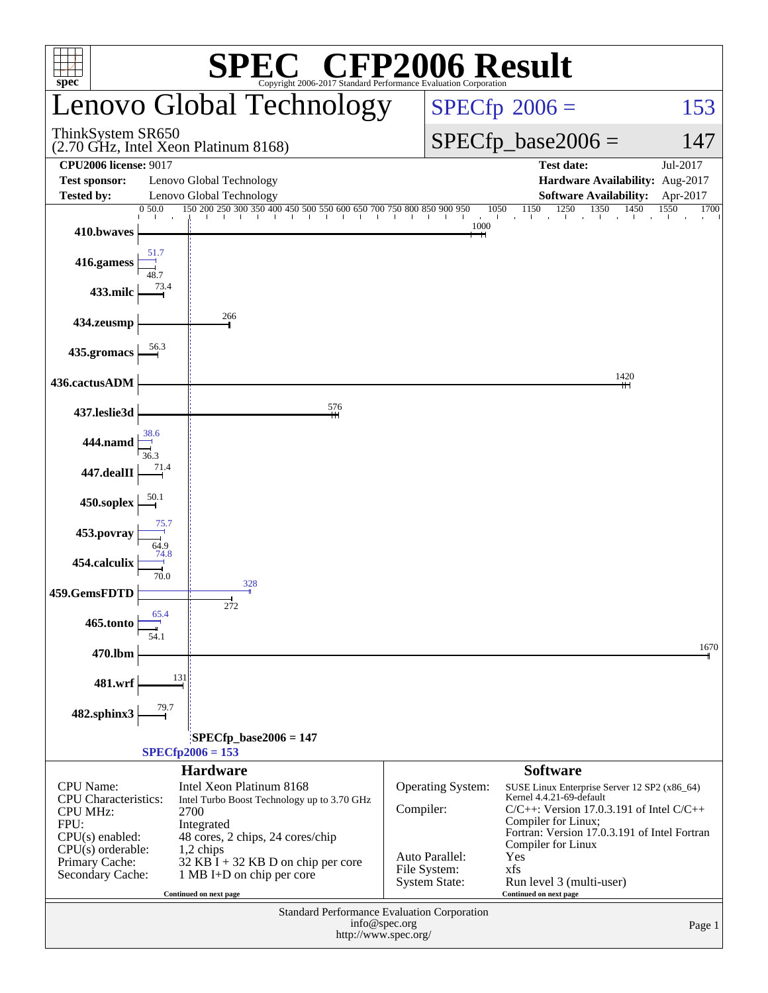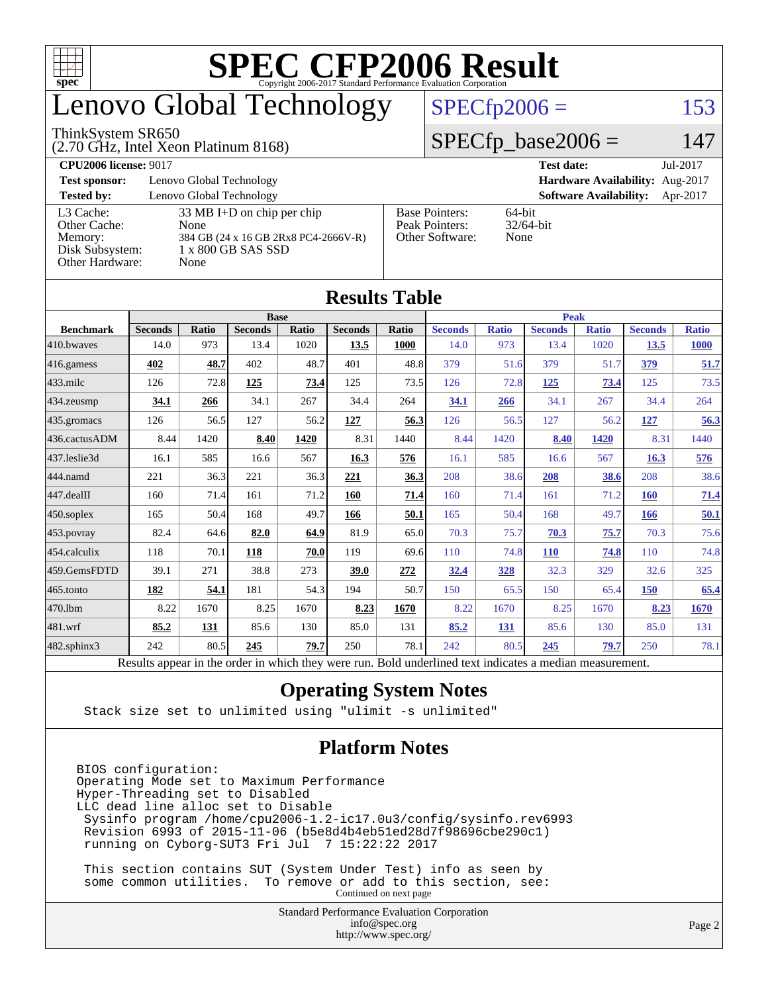

### enovo Global Technology

#### ThinkSystem SR650

(2.70 GHz, Intel Xeon Platinum 8168)

 $SPECfp2006 = 153$  $SPECfp2006 = 153$ 

#### $SPECfp\_base2006 = 147$

| <b>CPU2006 license: 9017</b>                            |                                                                                                            |                                                            | <b>Test date:</b><br>Jul-2017             |
|---------------------------------------------------------|------------------------------------------------------------------------------------------------------------|------------------------------------------------------------|-------------------------------------------|
| <b>Test sponsor:</b>                                    | Lenovo Global Technology                                                                                   |                                                            | Hardware Availability: Aug-2017           |
| <b>Tested by:</b>                                       | Lenovo Global Technology                                                                                   |                                                            | <b>Software Availability:</b><br>Apr-2017 |
| L3 Cache:<br>Other Cache:<br>Memory:<br>Disk Subsystem: | $33 \text{ MB I+D}$ on chip per chip<br>None<br>384 GB (24 x 16 GB 2Rx8 PC4-2666V-R)<br>1 x 800 GB SAS SSD | <b>Base Pointers:</b><br>Peak Pointers:<br>Other Software: | 64-bit<br>$32/64$ -bit<br>None            |
| Other Hardware:                                         | None                                                                                                       |                                                            |                                           |

**[Results Table](http://www.spec.org/auto/cpu2006/Docs/result-fields.html#ResultsTable)**

|                   |                                                                                                          |              |                |             | Results Table  |       |                |              |                |              |                |              |
|-------------------|----------------------------------------------------------------------------------------------------------|--------------|----------------|-------------|----------------|-------|----------------|--------------|----------------|--------------|----------------|--------------|
| <b>Base</b>       |                                                                                                          |              |                | <b>Peak</b> |                |       |                |              |                |              |                |              |
| <b>Benchmark</b>  | <b>Seconds</b>                                                                                           | <b>Ratio</b> | <b>Seconds</b> | Ratio       | <b>Seconds</b> | Ratio | <b>Seconds</b> | <b>Ratio</b> | <b>Seconds</b> | <b>Ratio</b> | <b>Seconds</b> | <b>Ratio</b> |
| 410.bwayes        | 14.0                                                                                                     | 973          | 13.4           | 1020        | 13.5           | 1000  | 14.0           | 973          | 13.4           | 1020         | 13.5           | <b>1000</b>  |
| 416.gamess        | 402                                                                                                      | 48.7         | 402            | 48.7        | 401            | 48.8  | 379            | 51.6         | 379            | 51.7         | 379            | 51.7         |
| $433$ .milc       | 126                                                                                                      | 72.8         | 125            | 73.4        | 125            | 73.5  | 126            | 72.8         | 125            | 73.4         | 125            | 73.5         |
| 434.zeusmp        | 34.1                                                                                                     | 266          | 34.1           | 267         | 34.4           | 264   | 34.1           | 266          | 34.1           | 267          | 34.4           | 264          |
| 435.gromacs       | 126                                                                                                      | 56.5         | 127            | 56.2        | 127            | 56.3  | 126            | 56.5         | 127            | 56.2         | <u>127</u>     | 56.3         |
| 436.cactusADM     | 8.44                                                                                                     | 1420         | 8.40           | 1420        | 8.31           | 1440  | 8.44           | 1420         | 8.40           | 1420         | 8.31           | 1440         |
| 437.leslie3d      | 16.1                                                                                                     | 585          | 16.6           | 567         | 16.3           | 576   | 16.1           | 585          | 16.6           | 567          | 16.3           | 576          |
| 444.namd          | 221                                                                                                      | 36.3         | 221            | 36.3        | 221            | 36.3  | 208            | 38.6         | 208            | 38.6         | 208            | 38.6         |
| 447.dealII        | 160                                                                                                      | 71.4         | 161            | 71.2        | 160            | 71.4  | 160            | 71.4         | 161            | 71.2         | 160            | 71.4         |
| $450$ .soplex     | 165                                                                                                      | 50.4         | 168            | 49.7        | 166            | 50.1  | 165            | 50.4         | 168            | 49.7         | 166            | 50.1         |
| 453.povray        | 82.4                                                                                                     | 64.6         | 82.0           | 64.9        | 81.9           | 65.0  | 70.3           | 75.7         | 70.3           | 75.7         | 70.3           | 75.6         |
| $ 454$ .calculix  | 118                                                                                                      | 70.1         | 118            | 70.0        | 119            | 69.6  | 110            | 74.8         | <b>110</b>     | 74.8         | 110            | 74.8         |
| 459.GemsFDTD      | 39.1                                                                                                     | 271          | 38.8           | 273         | 39.0           | 272   | 32.4           | 328          | 32.3           | 329          | 32.6           | 325          |
| 465.tonto         | 182                                                                                                      | 54.1         | 181            | 54.3        | 194            | 50.7  | 150            | 65.5         | 150            | 65.4         | 150            | 65.4         |
| 470.1bm           | 8.22                                                                                                     | 1670         | 8.25           | 1670        | 8.23           | 1670  | 8.22           | 1670         | 8.25           | 1670         | 8.23           | 1670         |
| 481.wrf           | 85.2                                                                                                     | 131          | 85.6           | 130         | 85.0           | 131   | 85.2           | 131          | 85.6           | 130          | 85.0           | 131          |
| $482$ .sphinx $3$ | 242                                                                                                      | 80.5         | 245            | 79.7        | 250            | 78.1  | 242            | 80.5         | 245            | 79.7         | 250            | 78.1         |
|                   | Results appear in the order in which they were run. Bold underlined text indicates a median measurement. |              |                |             |                |       |                |              |                |              |                |              |

#### **[Operating System Notes](http://www.spec.org/auto/cpu2006/Docs/result-fields.html#OperatingSystemNotes)**

Stack size set to unlimited using "ulimit -s unlimited"

#### **[Platform Notes](http://www.spec.org/auto/cpu2006/Docs/result-fields.html#PlatformNotes)**

BIOS configuration: Operating Mode set to Maximum Performance Hyper-Threading set to Disabled LLC dead line alloc set to Disable Sysinfo program /home/cpu2006-1.2-ic17.0u3/config/sysinfo.rev6993 Revision 6993 of 2015-11-06 (b5e8d4b4eb51ed28d7f98696cbe290c1) running on Cyborg-SUT3 Fri Jul 7 15:22:22 2017

 This section contains SUT (System Under Test) info as seen by some common utilities. To remove or add to this section, see: Continued on next page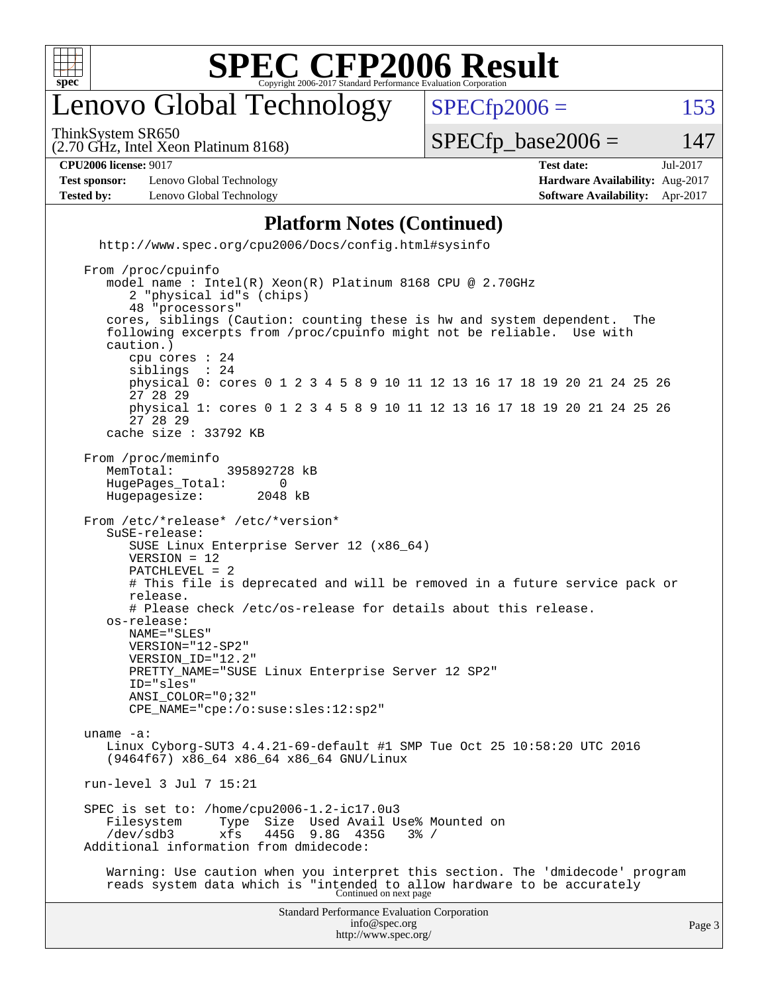

#### enovo Global Technology

ThinkSystem SR650

 $SPECTp2006 = 153$ 

(2.70 GHz, Intel Xeon Platinum 8168)

 $SPECTp\_base2006 = 147$ 

| <b>CPU2006</b><br>901 <sup>-</sup><br>, license <sup>,</sup><br>. | ~~<br>date:<br>∴oct | $\cap$<br>Jul<br>- 31 1 1 |
|-------------------------------------------------------------------|---------------------|---------------------------|

**[Test sponsor:](http://www.spec.org/auto/cpu2006/Docs/result-fields.html#Testsponsor)** Lenovo Global Technology **[Hardware Availability:](http://www.spec.org/auto/cpu2006/Docs/result-fields.html#HardwareAvailability)** Aug-2017 **[Tested by:](http://www.spec.org/auto/cpu2006/Docs/result-fields.html#Testedby)** Lenovo Global Technology **[Software Availability:](http://www.spec.org/auto/cpu2006/Docs/result-fields.html#SoftwareAvailability)** Apr-2017

#### **[Platform Notes \(Continued\)](http://www.spec.org/auto/cpu2006/Docs/result-fields.html#PlatformNotes)**

 <http://www.spec.org/cpu2006/Docs/config.html#sysinfo> From /proc/cpuinfo model name : Intel(R) Xeon(R) Platinum 8168 CPU @ 2.70GHz 2 "physical id"s (chips) 48 "processors" cores, siblings (Caution: counting these is hw and system dependent. The following excerpts from /proc/cpuinfo might not be reliable. Use with caution.) cpu cores : 24 siblings physical 0: cores 0 1 2 3 4 5 8 9 10 11 12 13 16 17 18 19 20 21 24 25 26 27 28 29 physical 1: cores 0 1 2 3 4 5 8 9 10 11 12 13 16 17 18 19 20 21 24 25 26

 cache size : 33792 KB From /proc/meminfo MemTotal: 395892728 kB<br>HugePages Total: 0 HugePages\_Total: 0 Hugepagesize: 2048 kB

27 28 29

 From /etc/\*release\* /etc/\*version\* SuSE-release: SUSE Linux Enterprise Server 12 (x86\_64)

 PATCHLEVEL = 2 # This file is deprecated and will be removed in a future service pack or release. # Please check /etc/os-release for details about this release.

 os-release: NAME="SLES" VERSION="12-SP2"

VERSION = 12

 VERSION\_ID="12.2" PRETTY\_NAME="SUSE Linux Enterprise Server 12 SP2" ID="sles"

 ANSI\_COLOR="0;32" CPE\_NAME="cpe:/o:suse:sles:12:sp2"

 uname -a: Linux Cyborg-SUT3 4.4.21-69-default #1 SMP Tue Oct 25 10:58:20 UTC 2016 (9464f67) x86\_64 x86\_64 x86\_64 GNU/Linux

run-level 3 Jul 7 15:21

 SPEC is set to: /home/cpu2006-1.2-ic17.0u3 Filesystem Type Size Used Avail Use% Mounted on<br>/dev/sdb3 xfs 445G 9.8G 435G 3% / xfs 445G 9.8G 435G 3% / Additional information from dmidecode:

 Warning: Use caution when you interpret this section. The 'dmidecode' program reads system data which is "intended to allow hardware to be accurately Continued on next page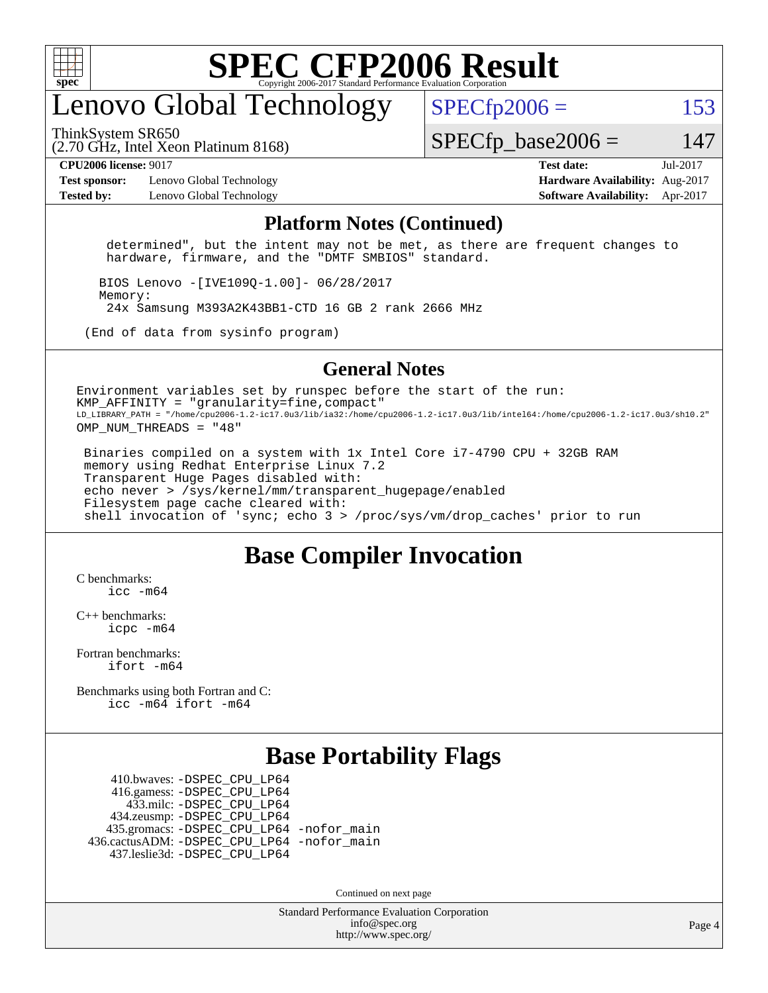

#### enovo Global Technology

ThinkSystem SR650

 $SPECfp2006 = 153$  $SPECfp2006 = 153$ 

(2.70 GHz, Intel Xeon Platinum 8168)

 $SPECTp\_base2006 = 147$ 

**[Test sponsor:](http://www.spec.org/auto/cpu2006/Docs/result-fields.html#Testsponsor)** Lenovo Global Technology **[Hardware Availability:](http://www.spec.org/auto/cpu2006/Docs/result-fields.html#HardwareAvailability)** Aug-2017 **[Tested by:](http://www.spec.org/auto/cpu2006/Docs/result-fields.html#Testedby)** Lenovo Global Technology **[Software Availability:](http://www.spec.org/auto/cpu2006/Docs/result-fields.html#SoftwareAvailability)** Apr-2017

**[CPU2006 license:](http://www.spec.org/auto/cpu2006/Docs/result-fields.html#CPU2006license)** 9017 **[Test date:](http://www.spec.org/auto/cpu2006/Docs/result-fields.html#Testdate)** Jul-2017

#### **[Platform Notes \(Continued\)](http://www.spec.org/auto/cpu2006/Docs/result-fields.html#PlatformNotes)**

 determined", but the intent may not be met, as there are frequent changes to hardware, firmware, and the "DMTF SMBIOS" standard.

 BIOS Lenovo -[IVE109Q-1.00]- 06/28/2017 Memory: 24x Samsung M393A2K43BB1-CTD 16 GB 2 rank 2666 MHz

(End of data from sysinfo program)

#### **[General Notes](http://www.spec.org/auto/cpu2006/Docs/result-fields.html#GeneralNotes)**

Environment variables set by runspec before the start of the run:  $KMP$  AFFINITY = "granularity=fine, compact" LD\_LIBRARY\_PATH = "/home/cpu2006-1.2-ic17.0u3/lib/ia32:/home/cpu2006-1.2-ic17.0u3/lib/intel64:/home/cpu2006-1.2-ic17.0u3/sh10.2" OMP\_NUM\_THREADS = "48"

 Binaries compiled on a system with 1x Intel Core i7-4790 CPU + 32GB RAM memory using Redhat Enterprise Linux 7.2 Transparent Huge Pages disabled with: echo never > /sys/kernel/mm/transparent\_hugepage/enabled Filesystem page cache cleared with: shell invocation of 'sync; echo 3 > /proc/sys/vm/drop\_caches' prior to run

#### **[Base Compiler Invocation](http://www.spec.org/auto/cpu2006/Docs/result-fields.html#BaseCompilerInvocation)**

[C benchmarks](http://www.spec.org/auto/cpu2006/Docs/result-fields.html#Cbenchmarks): [icc -m64](http://www.spec.org/cpu2006/results/res2017q4/cpu2006-20170918-49795.flags.html#user_CCbase_intel_icc_64bit_bda6cc9af1fdbb0edc3795bac97ada53)

[C++ benchmarks:](http://www.spec.org/auto/cpu2006/Docs/result-fields.html#CXXbenchmarks) [icpc -m64](http://www.spec.org/cpu2006/results/res2017q4/cpu2006-20170918-49795.flags.html#user_CXXbase_intel_icpc_64bit_fc66a5337ce925472a5c54ad6a0de310)

[Fortran benchmarks](http://www.spec.org/auto/cpu2006/Docs/result-fields.html#Fortranbenchmarks): [ifort -m64](http://www.spec.org/cpu2006/results/res2017q4/cpu2006-20170918-49795.flags.html#user_FCbase_intel_ifort_64bit_ee9d0fb25645d0210d97eb0527dcc06e)

[Benchmarks using both Fortran and C](http://www.spec.org/auto/cpu2006/Docs/result-fields.html#BenchmarksusingbothFortranandC): [icc -m64](http://www.spec.org/cpu2006/results/res2017q4/cpu2006-20170918-49795.flags.html#user_CC_FCbase_intel_icc_64bit_bda6cc9af1fdbb0edc3795bac97ada53) [ifort -m64](http://www.spec.org/cpu2006/results/res2017q4/cpu2006-20170918-49795.flags.html#user_CC_FCbase_intel_ifort_64bit_ee9d0fb25645d0210d97eb0527dcc06e)

#### **[Base Portability Flags](http://www.spec.org/auto/cpu2006/Docs/result-fields.html#BasePortabilityFlags)**

 410.bwaves: [-DSPEC\\_CPU\\_LP64](http://www.spec.org/cpu2006/results/res2017q4/cpu2006-20170918-49795.flags.html#suite_basePORTABILITY410_bwaves_DSPEC_CPU_LP64) 416.gamess: [-DSPEC\\_CPU\\_LP64](http://www.spec.org/cpu2006/results/res2017q4/cpu2006-20170918-49795.flags.html#suite_basePORTABILITY416_gamess_DSPEC_CPU_LP64) 433.milc: [-DSPEC\\_CPU\\_LP64](http://www.spec.org/cpu2006/results/res2017q4/cpu2006-20170918-49795.flags.html#suite_basePORTABILITY433_milc_DSPEC_CPU_LP64) 434.zeusmp: [-DSPEC\\_CPU\\_LP64](http://www.spec.org/cpu2006/results/res2017q4/cpu2006-20170918-49795.flags.html#suite_basePORTABILITY434_zeusmp_DSPEC_CPU_LP64) 435.gromacs: [-DSPEC\\_CPU\\_LP64](http://www.spec.org/cpu2006/results/res2017q4/cpu2006-20170918-49795.flags.html#suite_basePORTABILITY435_gromacs_DSPEC_CPU_LP64) [-nofor\\_main](http://www.spec.org/cpu2006/results/res2017q4/cpu2006-20170918-49795.flags.html#user_baseLDPORTABILITY435_gromacs_f-nofor_main) 436.cactusADM: [-DSPEC\\_CPU\\_LP64](http://www.spec.org/cpu2006/results/res2017q4/cpu2006-20170918-49795.flags.html#suite_basePORTABILITY436_cactusADM_DSPEC_CPU_LP64) [-nofor\\_main](http://www.spec.org/cpu2006/results/res2017q4/cpu2006-20170918-49795.flags.html#user_baseLDPORTABILITY436_cactusADM_f-nofor_main) 437.leslie3d: [-DSPEC\\_CPU\\_LP64](http://www.spec.org/cpu2006/results/res2017q4/cpu2006-20170918-49795.flags.html#suite_basePORTABILITY437_leslie3d_DSPEC_CPU_LP64)

Continued on next page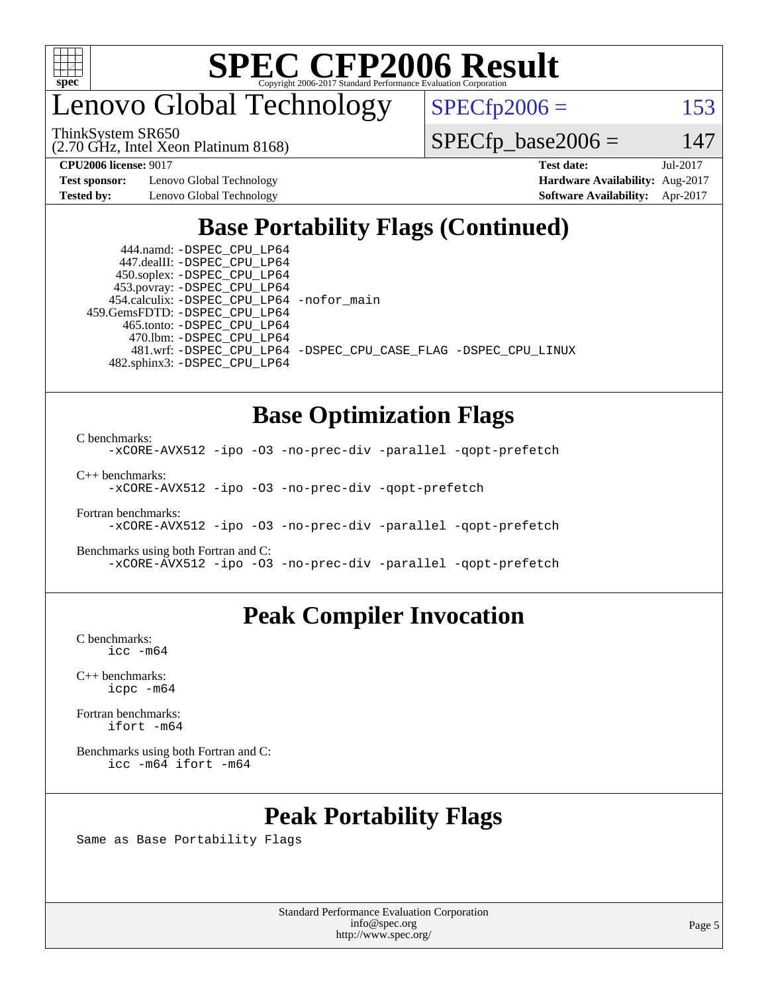

enovo Global Technology

ThinkSystem SR650

(2.70 GHz, Intel Xeon Platinum 8168)

 $SPECTp2006 = 153$ 

 $SPECTp\_base2006 = 147$ 

**[Test sponsor:](http://www.spec.org/auto/cpu2006/Docs/result-fields.html#Testsponsor)** Lenovo Global Technology **[Hardware Availability:](http://www.spec.org/auto/cpu2006/Docs/result-fields.html#HardwareAvailability)** Aug-2017

**[CPU2006 license:](http://www.spec.org/auto/cpu2006/Docs/result-fields.html#CPU2006license)** 9017 **[Test date:](http://www.spec.org/auto/cpu2006/Docs/result-fields.html#Testdate)** Jul-2017 **[Tested by:](http://www.spec.org/auto/cpu2006/Docs/result-fields.html#Testedby)** Lenovo Global Technology **[Software Availability:](http://www.spec.org/auto/cpu2006/Docs/result-fields.html#SoftwareAvailability)** Apr-2017

#### **[Base Portability Flags \(Continued\)](http://www.spec.org/auto/cpu2006/Docs/result-fields.html#BasePortabilityFlags)**

 444.namd: [-DSPEC\\_CPU\\_LP64](http://www.spec.org/cpu2006/results/res2017q4/cpu2006-20170918-49795.flags.html#suite_basePORTABILITY444_namd_DSPEC_CPU_LP64) 447.dealII: [-DSPEC\\_CPU\\_LP64](http://www.spec.org/cpu2006/results/res2017q4/cpu2006-20170918-49795.flags.html#suite_basePORTABILITY447_dealII_DSPEC_CPU_LP64) 450.soplex: [-DSPEC\\_CPU\\_LP64](http://www.spec.org/cpu2006/results/res2017q4/cpu2006-20170918-49795.flags.html#suite_basePORTABILITY450_soplex_DSPEC_CPU_LP64) 453.povray: [-DSPEC\\_CPU\\_LP64](http://www.spec.org/cpu2006/results/res2017q4/cpu2006-20170918-49795.flags.html#suite_basePORTABILITY453_povray_DSPEC_CPU_LP64) 454.calculix: [-DSPEC\\_CPU\\_LP64](http://www.spec.org/cpu2006/results/res2017q4/cpu2006-20170918-49795.flags.html#suite_basePORTABILITY454_calculix_DSPEC_CPU_LP64) [-nofor\\_main](http://www.spec.org/cpu2006/results/res2017q4/cpu2006-20170918-49795.flags.html#user_baseLDPORTABILITY454_calculix_f-nofor_main) 459.GemsFDTD: [-DSPEC\\_CPU\\_LP64](http://www.spec.org/cpu2006/results/res2017q4/cpu2006-20170918-49795.flags.html#suite_basePORTABILITY459_GemsFDTD_DSPEC_CPU_LP64) 465.tonto: [-DSPEC\\_CPU\\_LP64](http://www.spec.org/cpu2006/results/res2017q4/cpu2006-20170918-49795.flags.html#suite_basePORTABILITY465_tonto_DSPEC_CPU_LP64) 470.lbm: [-DSPEC\\_CPU\\_LP64](http://www.spec.org/cpu2006/results/res2017q4/cpu2006-20170918-49795.flags.html#suite_basePORTABILITY470_lbm_DSPEC_CPU_LP64) 482.sphinx3: [-DSPEC\\_CPU\\_LP64](http://www.spec.org/cpu2006/results/res2017q4/cpu2006-20170918-49795.flags.html#suite_basePORTABILITY482_sphinx3_DSPEC_CPU_LP64)

481.wrf: [-DSPEC\\_CPU\\_LP64](http://www.spec.org/cpu2006/results/res2017q4/cpu2006-20170918-49795.flags.html#suite_basePORTABILITY481_wrf_DSPEC_CPU_LP64) [-DSPEC\\_CPU\\_CASE\\_FLAG](http://www.spec.org/cpu2006/results/res2017q4/cpu2006-20170918-49795.flags.html#b481.wrf_baseCPORTABILITY_DSPEC_CPU_CASE_FLAG) [-DSPEC\\_CPU\\_LINUX](http://www.spec.org/cpu2006/results/res2017q4/cpu2006-20170918-49795.flags.html#b481.wrf_baseCPORTABILITY_DSPEC_CPU_LINUX)

**[Base Optimization Flags](http://www.spec.org/auto/cpu2006/Docs/result-fields.html#BaseOptimizationFlags)**

[C benchmarks](http://www.spec.org/auto/cpu2006/Docs/result-fields.html#Cbenchmarks): [-xCORE-AVX512](http://www.spec.org/cpu2006/results/res2017q4/cpu2006-20170918-49795.flags.html#user_CCbase_f-xCORE-AVX512) [-ipo](http://www.spec.org/cpu2006/results/res2017q4/cpu2006-20170918-49795.flags.html#user_CCbase_f-ipo) [-O3](http://www.spec.org/cpu2006/results/res2017q4/cpu2006-20170918-49795.flags.html#user_CCbase_f-O3) [-no-prec-div](http://www.spec.org/cpu2006/results/res2017q4/cpu2006-20170918-49795.flags.html#user_CCbase_f-no-prec-div) [-parallel](http://www.spec.org/cpu2006/results/res2017q4/cpu2006-20170918-49795.flags.html#user_CCbase_f-parallel) [-qopt-prefetch](http://www.spec.org/cpu2006/results/res2017q4/cpu2006-20170918-49795.flags.html#user_CCbase_f-qopt-prefetch) [C++ benchmarks:](http://www.spec.org/auto/cpu2006/Docs/result-fields.html#CXXbenchmarks) [-xCORE-AVX512](http://www.spec.org/cpu2006/results/res2017q4/cpu2006-20170918-49795.flags.html#user_CXXbase_f-xCORE-AVX512) [-ipo](http://www.spec.org/cpu2006/results/res2017q4/cpu2006-20170918-49795.flags.html#user_CXXbase_f-ipo) [-O3](http://www.spec.org/cpu2006/results/res2017q4/cpu2006-20170918-49795.flags.html#user_CXXbase_f-O3) [-no-prec-div](http://www.spec.org/cpu2006/results/res2017q4/cpu2006-20170918-49795.flags.html#user_CXXbase_f-no-prec-div) [-qopt-prefetch](http://www.spec.org/cpu2006/results/res2017q4/cpu2006-20170918-49795.flags.html#user_CXXbase_f-qopt-prefetch) [Fortran benchmarks](http://www.spec.org/auto/cpu2006/Docs/result-fields.html#Fortranbenchmarks): [-xCORE-AVX512](http://www.spec.org/cpu2006/results/res2017q4/cpu2006-20170918-49795.flags.html#user_FCbase_f-xCORE-AVX512) [-ipo](http://www.spec.org/cpu2006/results/res2017q4/cpu2006-20170918-49795.flags.html#user_FCbase_f-ipo) [-O3](http://www.spec.org/cpu2006/results/res2017q4/cpu2006-20170918-49795.flags.html#user_FCbase_f-O3) [-no-prec-div](http://www.spec.org/cpu2006/results/res2017q4/cpu2006-20170918-49795.flags.html#user_FCbase_f-no-prec-div) [-parallel](http://www.spec.org/cpu2006/results/res2017q4/cpu2006-20170918-49795.flags.html#user_FCbase_f-parallel) [-qopt-prefetch](http://www.spec.org/cpu2006/results/res2017q4/cpu2006-20170918-49795.flags.html#user_FCbase_f-qopt-prefetch)

[Benchmarks using both Fortran and C](http://www.spec.org/auto/cpu2006/Docs/result-fields.html#BenchmarksusingbothFortranandC): [-xCORE-AVX512](http://www.spec.org/cpu2006/results/res2017q4/cpu2006-20170918-49795.flags.html#user_CC_FCbase_f-xCORE-AVX512) [-ipo](http://www.spec.org/cpu2006/results/res2017q4/cpu2006-20170918-49795.flags.html#user_CC_FCbase_f-ipo) [-O3](http://www.spec.org/cpu2006/results/res2017q4/cpu2006-20170918-49795.flags.html#user_CC_FCbase_f-O3) [-no-prec-div](http://www.spec.org/cpu2006/results/res2017q4/cpu2006-20170918-49795.flags.html#user_CC_FCbase_f-no-prec-div) [-parallel](http://www.spec.org/cpu2006/results/res2017q4/cpu2006-20170918-49795.flags.html#user_CC_FCbase_f-parallel) [-qopt-prefetch](http://www.spec.org/cpu2006/results/res2017q4/cpu2006-20170918-49795.flags.html#user_CC_FCbase_f-qopt-prefetch)

#### **[Peak Compiler Invocation](http://www.spec.org/auto/cpu2006/Docs/result-fields.html#PeakCompilerInvocation)**

[C benchmarks](http://www.spec.org/auto/cpu2006/Docs/result-fields.html#Cbenchmarks): [icc -m64](http://www.spec.org/cpu2006/results/res2017q4/cpu2006-20170918-49795.flags.html#user_CCpeak_intel_icc_64bit_bda6cc9af1fdbb0edc3795bac97ada53)

[C++ benchmarks:](http://www.spec.org/auto/cpu2006/Docs/result-fields.html#CXXbenchmarks) [icpc -m64](http://www.spec.org/cpu2006/results/res2017q4/cpu2006-20170918-49795.flags.html#user_CXXpeak_intel_icpc_64bit_fc66a5337ce925472a5c54ad6a0de310)

[Fortran benchmarks](http://www.spec.org/auto/cpu2006/Docs/result-fields.html#Fortranbenchmarks): [ifort -m64](http://www.spec.org/cpu2006/results/res2017q4/cpu2006-20170918-49795.flags.html#user_FCpeak_intel_ifort_64bit_ee9d0fb25645d0210d97eb0527dcc06e)

[Benchmarks using both Fortran and C](http://www.spec.org/auto/cpu2006/Docs/result-fields.html#BenchmarksusingbothFortranandC): [icc -m64](http://www.spec.org/cpu2006/results/res2017q4/cpu2006-20170918-49795.flags.html#user_CC_FCpeak_intel_icc_64bit_bda6cc9af1fdbb0edc3795bac97ada53) [ifort -m64](http://www.spec.org/cpu2006/results/res2017q4/cpu2006-20170918-49795.flags.html#user_CC_FCpeak_intel_ifort_64bit_ee9d0fb25645d0210d97eb0527dcc06e)

#### **[Peak Portability Flags](http://www.spec.org/auto/cpu2006/Docs/result-fields.html#PeakPortabilityFlags)**

Same as Base Portability Flags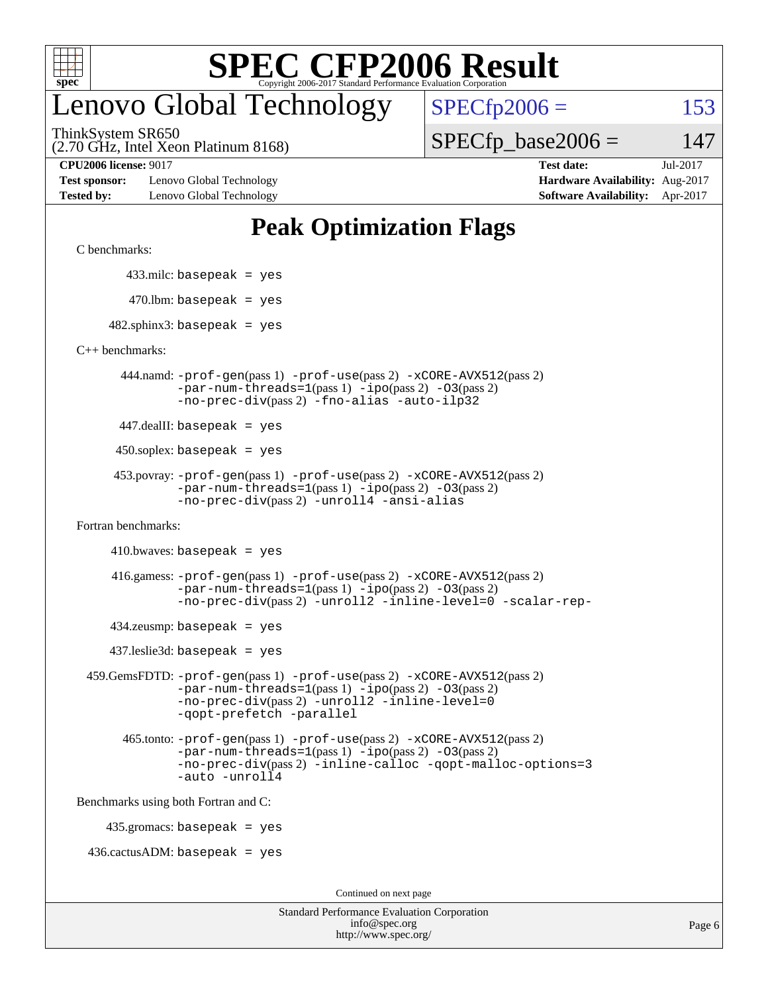

#### enovo Global Technology

ThinkSystem SR650

 $SPECTp2006 = 153$  $SPECfp\_base2006 = 147$ 

(2.70 GHz, Intel Xeon Platinum 8168)

**[Test sponsor:](http://www.spec.org/auto/cpu2006/Docs/result-fields.html#Testsponsor)** Lenovo Global Technology **[Hardware Availability:](http://www.spec.org/auto/cpu2006/Docs/result-fields.html#HardwareAvailability)** Aug-2017 **[Tested by:](http://www.spec.org/auto/cpu2006/Docs/result-fields.html#Testedby)** Lenovo Global Technology **[Software Availability:](http://www.spec.org/auto/cpu2006/Docs/result-fields.html#SoftwareAvailability)** Apr-2017

**[CPU2006 license:](http://www.spec.org/auto/cpu2006/Docs/result-fields.html#CPU2006license)** 9017 **[Test date:](http://www.spec.org/auto/cpu2006/Docs/result-fields.html#Testdate)** Jul-2017

#### **[Peak Optimization Flags](http://www.spec.org/auto/cpu2006/Docs/result-fields.html#PeakOptimizationFlags)**

[C benchmarks](http://www.spec.org/auto/cpu2006/Docs/result-fields.html#Cbenchmarks):

433.milc: basepeak = yes

 $470.$ lbm: basepeak = yes

 $482$ .sphinx3: basepeak = yes

[C++ benchmarks:](http://www.spec.org/auto/cpu2006/Docs/result-fields.html#CXXbenchmarks)

 444.namd: [-prof-gen](http://www.spec.org/cpu2006/results/res2017q4/cpu2006-20170918-49795.flags.html#user_peakPASS1_CXXFLAGSPASS1_LDFLAGS444_namd_prof_gen_e43856698f6ca7b7e442dfd80e94a8fc)(pass 1) [-prof-use](http://www.spec.org/cpu2006/results/res2017q4/cpu2006-20170918-49795.flags.html#user_peakPASS2_CXXFLAGSPASS2_LDFLAGS444_namd_prof_use_bccf7792157ff70d64e32fe3e1250b55)(pass 2) [-xCORE-AVX512](http://www.spec.org/cpu2006/results/res2017q4/cpu2006-20170918-49795.flags.html#user_peakPASS2_CXXFLAGSPASS2_LDFLAGS444_namd_f-xCORE-AVX512)(pass 2) [-par-num-threads=1](http://www.spec.org/cpu2006/results/res2017q4/cpu2006-20170918-49795.flags.html#user_peakPASS1_CXXFLAGSPASS1_LDFLAGS444_namd_par_num_threads_786a6ff141b4e9e90432e998842df6c2)(pass 1) [-ipo](http://www.spec.org/cpu2006/results/res2017q4/cpu2006-20170918-49795.flags.html#user_peakPASS2_CXXFLAGSPASS2_LDFLAGS444_namd_f-ipo)(pass 2) [-O3](http://www.spec.org/cpu2006/results/res2017q4/cpu2006-20170918-49795.flags.html#user_peakPASS2_CXXFLAGSPASS2_LDFLAGS444_namd_f-O3)(pass 2) [-no-prec-div](http://www.spec.org/cpu2006/results/res2017q4/cpu2006-20170918-49795.flags.html#user_peakPASS2_CXXFLAGSPASS2_LDFLAGS444_namd_f-no-prec-div)(pass 2) [-fno-alias](http://www.spec.org/cpu2006/results/res2017q4/cpu2006-20170918-49795.flags.html#user_peakCXXOPTIMIZEOPTIMIZE444_namd_f-no-alias_694e77f6c5a51e658e82ccff53a9e63a) [-auto-ilp32](http://www.spec.org/cpu2006/results/res2017q4/cpu2006-20170918-49795.flags.html#user_peakCXXOPTIMIZE444_namd_f-auto-ilp32)

447.dealII: basepeak = yes

 $450$ .soplex: basepeak = yes

```
 453.povray: -prof-gen(pass 1) -prof-use(pass 2) -xCORE-AVX512(pass 2)
  -par-num-threads=1(pass 1) -ipo(pass 2) -O3(pass 2)
  -no-prec-div(pass 2) -unroll4 -ansi-alias
```
[Fortran benchmarks](http://www.spec.org/auto/cpu2006/Docs/result-fields.html#Fortranbenchmarks):

```
410.bwaves: basepeak = yes
```

```
 416.gamess: -prof-gen(pass 1) -prof-use(pass 2) -xCORE-AVX512(pass 2)
 -par-num-threads=1-ipo-O3(pass 2)
 -no-prec-div(pass 2) -unroll2 -inline-level=0 -scalar-rep-
```
 $434$ .zeusmp: basepeak = yes

437.leslie3d: basepeak = yes

```
 459.GemsFDTD: -prof-gen(pass 1) -prof-use(pass 2) -xCORE-AVX512(pass 2)
     -par-num-threads=1(pass 1) -ipo(pass 2) -O3(pass 2)
     -no-prec-div(pass 2) -unroll2 -inline-level=0
     -qopt-prefetch -parallel
```

```
 465.tonto: -prof-gen(pass 1) -prof-use(pass 2) -xCORE-AVX512(pass 2)
-par-num-threads=1(pass 1) -ipo(pass 2) -O3(pass 2)
-no-prec-div(pass 2) -inline-calloc -qopt-malloc-options=3
-auto -unroll4
```
[Benchmarks using both Fortran and C](http://www.spec.org/auto/cpu2006/Docs/result-fields.html#BenchmarksusingbothFortranandC):

435.gromacs: basepeak = yes

 $436.cactusADM:basepeak = yes$ 

Continued on next page

| <b>Standard Performance Evaluation Corporation</b> |
|----------------------------------------------------|
| info@spec.org                                      |
| http://www.spec.org/                               |